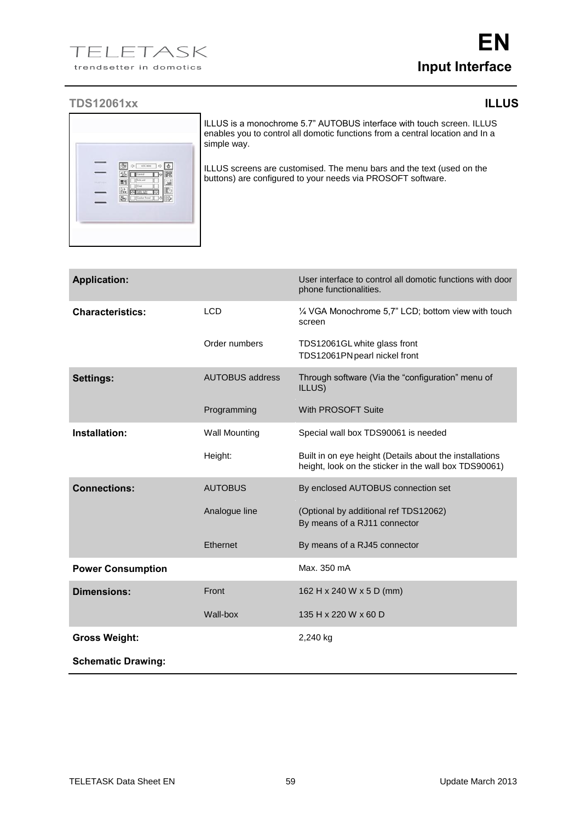## **TDS12061xx ILLUS**

|          | $\Rightarrow$ $\theta$<br>10000<br>ó.<br><b>BR</b><br>旗<br>爭<br>Central<br>lо<br>Sink unit |
|----------|--------------------------------------------------------------------------------------------|
| TELEMATA | E1<br>温<br>One<br>Þ<br>Toble light<br>Гũ<br>P.<br>Cooker hood<br>π<br>位                    |
|          |                                                                                            |

ILLUS is a monochrome 5.7" AUTOBUS interface with touch screen. ILLUS enables you to control all domotic functions from a central location and In a simple way.

ILLUS screens are customised. The menu bars and the text (used on the buttons) are configured to your needs via PROSOFT software.

| <b>Application:</b>       |                        | User interface to control all domotic functions with door<br>phone functionalities.                              |
|---------------------------|------------------------|------------------------------------------------------------------------------------------------------------------|
| <b>Characteristics:</b>   | <b>LCD</b>             | 1/4 VGA Monochrome 5,7" LCD; bottom view with touch<br>screen                                                    |
|                           | Order numbers          | TDS12061GL white glass front<br>TDS12061PN pearl nickel front                                                    |
| <b>Settings:</b>          | <b>AUTOBUS address</b> | Through software (Via the "configuration" menu of<br>ILLUS)                                                      |
|                           | Programming            | With PROSOFT Suite                                                                                               |
| Installation:             | <b>Wall Mounting</b>   | Special wall box TDS90061 is needed                                                                              |
|                           | Height:                | Built in on eye height (Details about the installations<br>height, look on the sticker in the wall box TDS90061) |
| <b>Connections:</b>       | <b>AUTOBUS</b>         | By enclosed AUTOBUS connection set                                                                               |
|                           | Analogue line          | (Optional by additional ref TDS12062)<br>By means of a RJ11 connector                                            |
|                           | Ethernet               | By means of a RJ45 connector                                                                                     |
| <b>Power Consumption</b>  |                        | Max. 350 mA                                                                                                      |
| <b>Dimensions:</b>        | Front                  | 162 H x 240 W x 5 D (mm)                                                                                         |
|                           | Wall-box               | 135 H x 220 W x 60 D                                                                                             |
| <b>Gross Weight:</b>      |                        | 2,240 kg                                                                                                         |
| <b>Schematic Drawing:</b> |                        |                                                                                                                  |